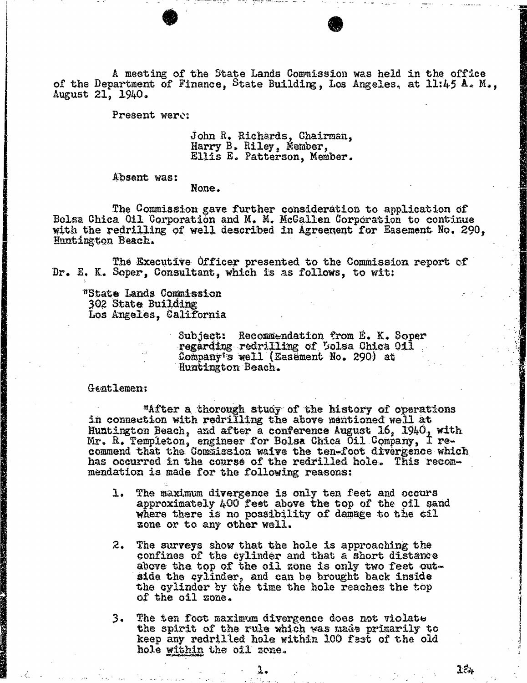A meeting of the State Lands Commission was held in the office of the Department of Finance, State Building, Los Angeles, at 11:45  $A<sub>5</sub>$  M., August 21, 1940.

Present were:

John R. Richards, Chairman, Harry B. Riley, Member, Ellis E. Patterson, Member.

Absent was:

None.

The Commission gave further consideration to application of Bolsa Chica Oil Corporation and M. M. Mcallen Corporation to continue with the redrilling of well described in Agreement for Easement No. 290, Huntington Beach.

The Executive Officer presented to the Commission report of Dr. E. K. Soper, Consultant, which is as follows, to wit:

"State Lands Commission 302 State Building Los Angeles, California

> Subject: Recommendation from E. K. Soper regarding redrilling of Bolsa Chica Oil Company's well (Easement No. 290) at Huntington Beach.

Gentlemen:

"After a thorough study of the history of operations in connection with redrilling the above mentioned well at Huntington Beach, and after a conference August 16, 1940, with Mr. R. Templeton, engineer for Bolsa Chica Oil Company commend that the Commission waive the ten-foot divergence has occurred in the course of the redrilled hole. This recommendation is made for the following reasons:

- 1. The maximum divergence is only ten feet and occurs approximately 400 feet above the top of the oil sand where there is no possibility of damage to the cil zone or to any other well.
- 2. The surveys show that the hole is approaching the confines of the cylinder and that a short distance above the top of the oil zone is only two feet outside the cylinder, and can be brought back inside the cylinder by the time the hole reaches the top of the oil zone.

3. The ten foot maximum divergence does not violate the spirit of the rule which was made primarily to keep any redrilled hole within 100 fest of the old hole within the oil zone.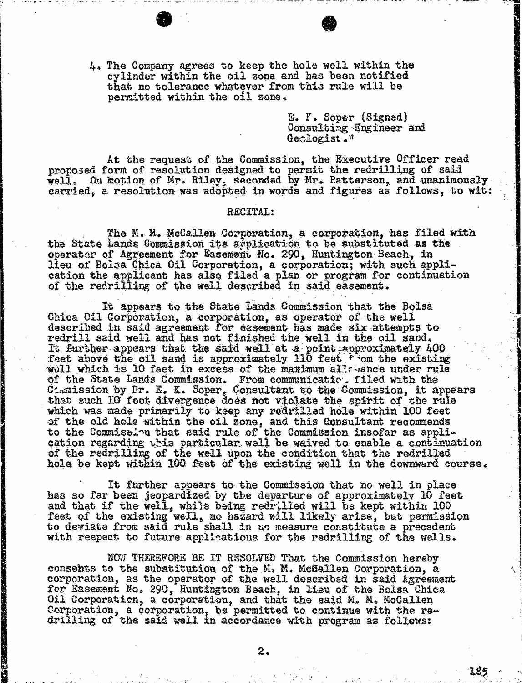4. The Company agrees to keep the hole well within the cylinder within the oil zone and has been notified that no tolerance whatever from this rule will be permitted within the oil zone.

> E. F. Soper (Signed) Consulting Engineer and Geologist."

At the request of the Commission, the Executive Officer read proposed form of resolution designed to permit the redrilling of said well. On motion of Mr. Riley, seconded by Mr. Patterson, and unanimously carried, a resolution was adopted in words and figures as follows, to wit:

## RECITAL:

The M. M. McCallen Corporation, a corporation, has filed with the State Lands Commission its application to be substituted as the operator of Agreement for Easemerit No. 290, Huntington Beach, in lieu of Bolsa Chica Oil Corporation, a corporation; with such application the applicant has also filed a plan or program for continuation of the redrilling of the well described in said easement.

It appears to the State Lands Commission that the Bolsa Chica Oil Corporation, a corporation, as operator of the well described in said agreement for easement has made six attempts to redrill said well and has not finished the well in the oil sand. It further appears that the said well at a point approximately  $400$ <br>feet above the oil sand is approximately 110 feet  $\mathcal{F}$  om the existing feet above the oil sand is approximately 110 feet from will which is 10 feet in excess of the maximum all rance of the State Lands Commission. From communication. I Cemission by Dr. E. K. Soper, Consultant to the Commission, it that such 10 foot divergence does not violate the spirit of the rule which was made primarily to keep any redrilled hole within 100 feet of the old hole within the oil zone, and this Consultant to the Commission that said rule of the Commission ins cation regarding this particular. well be waived to enable a continuation of the redrilling of the well upon the condition that the redrilled hole be kept within 100 feet of the existing well in the downward course.

It further appears to the Commission that no well in place has so far been jeopardized by the departure of approximately 10 feet and that if the well, while being redrilled will be kept within 100 feet of the existing well, no hazard will likely arise, but permission to deviate from said rule shall in no measure constitute a precedent with respect to future applications for the redrilling of the wells.

NOW THEREFORE BE IT RESOLVED That the Commission hereby consents to the substitution of the  $M$ ,  $M$ . McGallen corporation, as the operator of the well described in for Easement No. 290, Huntington Beach, in lieu of the Bolsa Chica Oil Corporation, a corporation, and that the said M. M. McCallen Corporation, a corporation, be permitted to continue with the redrilling of the said well in accordance with program as follows:

**The Commission of the Commission Commission** 

185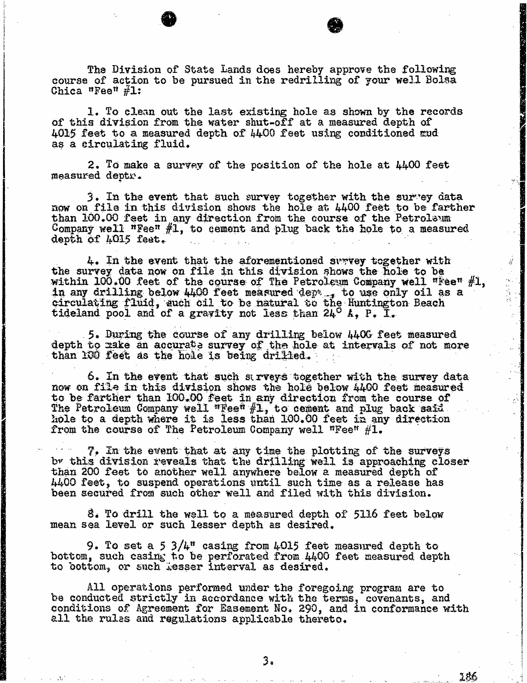The Division of State Lands does hereby approve the following course of action to be pursued in the redrilling of your well Bolsa Chica "Fee"  $\#1$ :

1. To clean out the last existing hole as shown by the records of this division from the water shut-off at a measured depth of 4015 feet to a measured depth of 4400 feet using conditioned mud as a circulating fluid.

2. To make a survey of the position of the hole at  $4400$  feet measured deptr.

3. In the event that such survey together with the survey data now on file in this division shows the hole at 4400 feet to be farther than 100.00 feet in any direction from the course of the Petroleum from  $f^*$ Company well "fee" #1, to cement and plug back the hole to a measured depth of 4015 feet.

4. In the event that the aforementioned survey together with the survey data now on file in this division shows the hole to be the survey data now on file in this division shows the hole to be hold the hole to be hole to be hole to be hole within  $100.00$  feet of the course of The Petroleum Company well "Fee"  $\frac{1}{4}$ in any drilling below 4400 feet measured dept , to use only oil as a circulating fluid, auch oil to be natural to the Huntington Beach circulating fluid, auch oil to be natural to the hundred tideland pool and of a gravity not less than  $24^{\circ}$ .

 $\hat{y}$ 

5. During the course of any drilling below  $4406$  feet measured depth to make an accurate survey of the hole at intervals of not more than 100 feet as the hole is being drilled.

6. In the event that such surveys together with the survey data now on file in this division shows the hole below 4400 feet measured to be farther than 100.00 feet in any direction from the course of The retroleum Company well "Fee" #1, to cement and plug back said that is not a  $k_{\text{max}}$  and a depth where it is less than  $100.00$  feet from the course of The Petroleum Company well "Fee"  $#1.$ 

7. In the event that at any time the plotting of the surveys<br>by this division reveals that the drilling well is approaching closer<br>than 200 feet to another well anywhere below a measured depth of than 200 feet to another well anywhere below a measured depth of the conditions. 4400 feet, to suspend operations until such time as a rele been secured from such other well and filed with this division.

8. To drill the well to a measured depth of 5116 feet below mean sea level or such lesser depth as desired.

9. To set a 5  $3/4$ <sup>m</sup> casing from 4015 feet measured depth to bottom, such casing to be perforated from 4400 feet measured depth to bottom, or such Lesser interval as desired.

All operations performed under the foregoing program are to be conducted strictly in accordance with the terms, covenants, and conditions of Agreement for Easement No. 290, and in conformance with all the rules and regulations applicable thereto.

3,